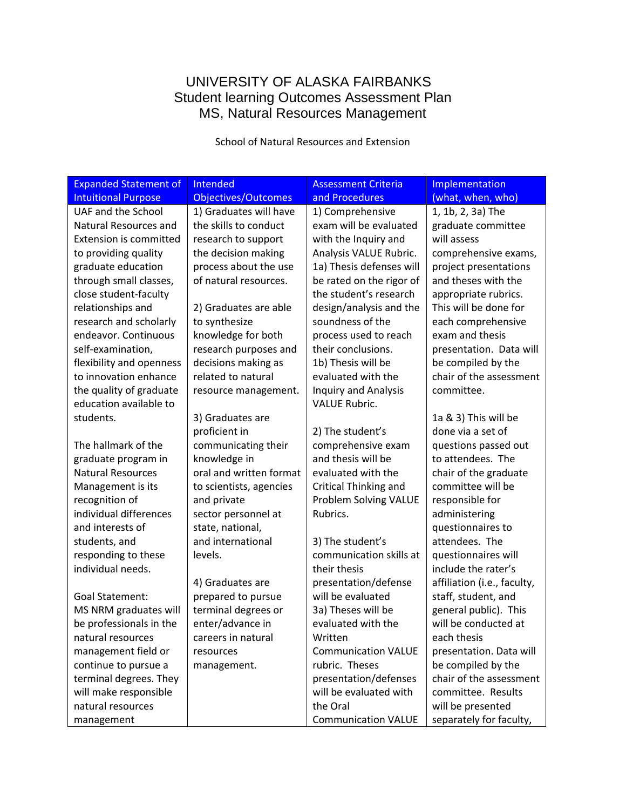# UNIVERSITY OF ALASKA FAIRBANKS Student learning Outcomes Assessment Plan MS, Natural Resources Management

School of Natural Resources and Extension

| <b>Expanded Statement of</b>  | Intended                   | <b>Assessment Criteria</b>  | Implementation              |
|-------------------------------|----------------------------|-----------------------------|-----------------------------|
| <b>Intuitional Purpose</b>    | <b>Objectives/Outcomes</b> | and Procedures              | (what, when, who)           |
| UAF and the School            | 1) Graduates will have     | 1) Comprehensive            | 1, 1b, 2, 3a) The           |
| Natural Resources and         | the skills to conduct      | exam will be evaluated      | graduate committee          |
| <b>Extension is committed</b> | research to support        | with the Inquiry and        | will assess                 |
| to providing quality          | the decision making        | Analysis VALUE Rubric.      | comprehensive exams,        |
| graduate education            | process about the use      | 1a) Thesis defenses will    | project presentations       |
| through small classes,        | of natural resources.      | be rated on the rigor of    | and theses with the         |
| close student-faculty         |                            | the student's research      | appropriate rubrics.        |
| relationships and             | 2) Graduates are able      | design/analysis and the     | This will be done for       |
| research and scholarly        | to synthesize              | soundness of the            | each comprehensive          |
| endeavor. Continuous          | knowledge for both         | process used to reach       | exam and thesis             |
| self-examination,             | research purposes and      | their conclusions.          | presentation. Data will     |
| flexibility and openness      | decisions making as        | 1b) Thesis will be          | be compiled by the          |
| to innovation enhance         | related to natural         | evaluated with the          | chair of the assessment     |
| the quality of graduate       | resource management.       | <b>Inquiry and Analysis</b> | committee.                  |
| education available to        |                            | <b>VALUE Rubric.</b>        |                             |
| students.                     | 3) Graduates are           |                             | 1a & 3) This will be        |
|                               | proficient in              | 2) The student's            | done via a set of           |
| The hallmark of the           | communicating their        | comprehensive exam          | questions passed out        |
| graduate program in           | knowledge in               | and thesis will be          | to attendees. The           |
| <b>Natural Resources</b>      | oral and written format    | evaluated with the          | chair of the graduate       |
| Management is its             | to scientists, agencies    | Critical Thinking and       | committee will be           |
| recognition of                | and private                | Problem Solving VALUE       | responsible for             |
| individual differences        | sector personnel at        | Rubrics.                    | administering               |
| and interests of              | state, national,           |                             | questionnaires to           |
| students, and                 | and international          | 3) The student's            | attendees. The              |
| responding to these           | levels.                    | communication skills at     | questionnaires will         |
| individual needs.             |                            | their thesis                | include the rater's         |
|                               | 4) Graduates are           | presentation/defense        | affiliation (i.e., faculty, |
| <b>Goal Statement:</b>        | prepared to pursue         | will be evaluated           | staff, student, and         |
| MS NRM graduates will         | terminal degrees or        | 3a) Theses will be          | general public). This       |
| be professionals in the       | enter/advance in           | evaluated with the          | will be conducted at        |
| natural resources             | careers in natural         | Written                     | each thesis                 |
| management field or           | resources                  | <b>Communication VALUE</b>  | presentation. Data will     |
| continue to pursue a          | management.                | rubric. Theses              | be compiled by the          |
| terminal degrees. They        |                            | presentation/defenses       | chair of the assessment     |
| will make responsible         |                            | will be evaluated with      | committee. Results          |
| natural resources             |                            | the Oral                    | will be presented           |
| management                    |                            | <b>Communication VALUE</b>  | separately for faculty,     |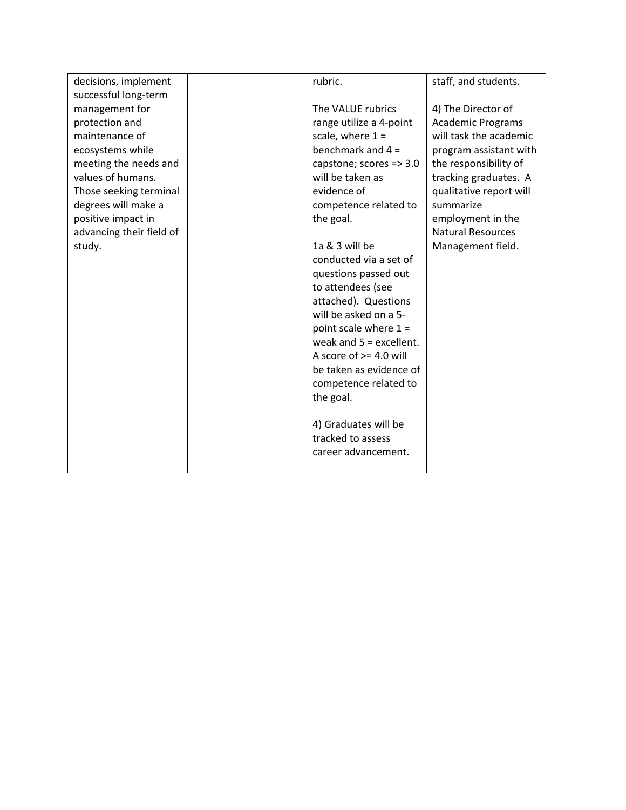| decisions, implement     | rubric.                   | staff, and students.     |
|--------------------------|---------------------------|--------------------------|
| successful long-term     |                           |                          |
| management for           | The VALUE rubrics         | 4) The Director of       |
| protection and           | range utilize a 4-point   | <b>Academic Programs</b> |
| maintenance of           | scale, where $1 =$        | will task the academic   |
| ecosystems while         | benchmark and $4 =$       | program assistant with   |
| meeting the needs and    | capstone; scores => 3.0   | the responsibility of    |
| values of humans.        | will be taken as          | tracking graduates. A    |
| Those seeking terminal   | evidence of               | qualitative report will  |
| degrees will make a      | competence related to     | summarize                |
| positive impact in       | the goal.                 | employment in the        |
| advancing their field of |                           | <b>Natural Resources</b> |
| study.                   | 1a & 3 will be            | Management field.        |
|                          | conducted via a set of    |                          |
|                          | questions passed out      |                          |
|                          | to attendees (see         |                          |
|                          | attached). Questions      |                          |
|                          | will be asked on a 5-     |                          |
|                          | point scale where $1 =$   |                          |
|                          | weak and $5 =$ excellent. |                          |
|                          | A score of $> = 4.0$ will |                          |
|                          | be taken as evidence of   |                          |
|                          | competence related to     |                          |
|                          | the goal.                 |                          |
|                          |                           |                          |
|                          | 4) Graduates will be      |                          |
|                          | tracked to assess         |                          |
|                          | career advancement.       |                          |
|                          |                           |                          |